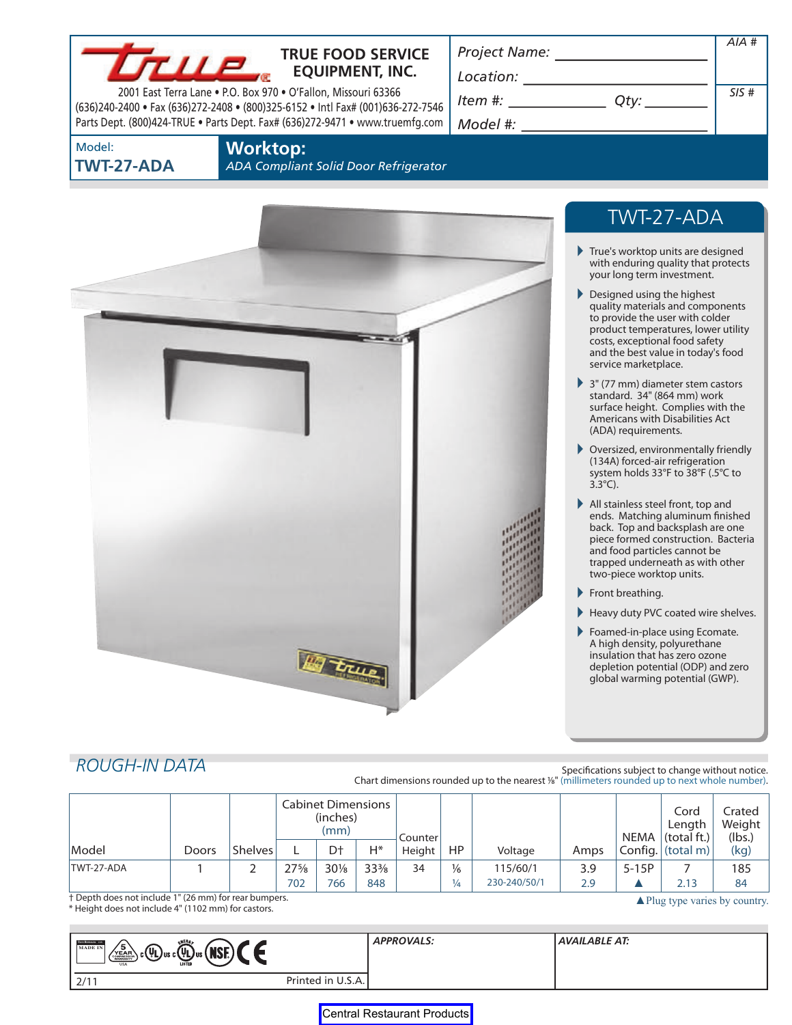### **TRUE FOOD SERVICE EQUIPMENT, INC.**

2001 East Terra Lane • P.O. Box 970 • O'Fallon, Missouri 63366 (636)240-2400 • Fax (636)272-2408 • (800)325-6152 • Intl Fax# (001)636-272-7546 Parts Dept. (800)424-TRUE • Parts Dept. Fax# (636)272-9471 • www.truemfg.com *Model #:* 

*Project Name:* 

*Location:* 

*Item #: Qty:* 

| Qty: |  |
|------|--|
|      |  |

Model: **TWT-27-ADA**  **Worktop:** 

*ADA Compliant Solid Door Refrigerator* 



# TWT-27-ADA

*AIA #* 

*SIS #* 

- True's worktop units are designed with enduring quality that protects your long term investment.
- Designed using the highest quality materials and components to provide the user with colder product temperatures, lower utility costs, exceptional food safety and the best value in today's food service marketplace.
- 3" (77 mm) diameter stem castors standard. 34" (864 mm) work surface height. Complies with the Americans with Disabilities Act (ADA) requirements.
- Oversized, environmentally friendly (134A) forced-air refrigeration system holds 33°F to 38°F (.5°C to 3.3°C).
- All stainless steel front, top and ends. Matching aluminum finished back. Top and backsplash are one piece formed construction. Bacteria and food particles cannot be trapped underneath as with other two-piece worktop units.
- Front breathing.
- Heavy duty PVC coated wire shelves.
- Foamed-in-place using Ecomate. A high density, polyurethane insulation that has zero ozone depletion potential (ODP) and zero global warming potential (GWP).

# **ROUGH-IN DATA Specifications subject to change without notice.**

Chart dimensions rounded up to the nearest <sup>1/8</sup>" (millimeters rounded up to next whole number).

|            |              |                | <b>Cabinet Dimensions</b><br>(inches)<br>(mm) |            | Counterl   |        |                      |                          |            | Cord<br>Length<br>NEMA $ $ (total ft.) $ $ | Crated<br>Weight<br>(lbs.)                |           |
|------------|--------------|----------------|-----------------------------------------------|------------|------------|--------|----------------------|--------------------------|------------|--------------------------------------------|-------------------------------------------|-----------|
| Model      | <b>Doors</b> | <b>Shelves</b> |                                               | Dt         | $H^*$      | Height | HP                   | Voltage                  | Amps       |                                            | $\vert$ Config. $\vert$ (total m) $\vert$ | (kg)      |
| TWT-27-ADA |              |                | $27\frac{5}{8}$<br>702                        | 30%<br>766 | 33%<br>848 | 34     | $\frac{1}{6}$<br>1⁄4 | 115/60/1<br>230-240/50/1 | 3.9<br>2.9 | $5-15P$                                    | 2.13                                      | 185<br>84 |

† Depth does not include 1" (26 mm) for rear bumpers. 
<br>\* Height does not include 4" (1102 mm) for castors.

| ENERG<br>TROCRETAGER 108<br>΄5΄<br><b>MADE IN</b><br>$\text{C}(\mathbf{u})$ us c $\text{C}(\mathbf{u})$ us $(\text{NSE})$<br>YEAR\<br><b>USA</b> |                   | <b>APPROVALS:</b> | <b>AVAILABLE AT:</b> |
|--------------------------------------------------------------------------------------------------------------------------------------------------|-------------------|-------------------|----------------------|
| 2/11                                                                                                                                             | Printed in U.S.A. |                   |                      |